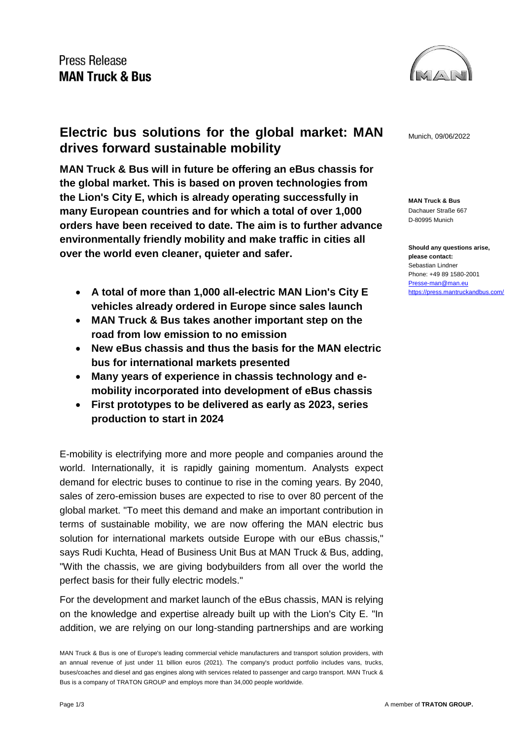

**Electric bus solutions for the global market: MAN** Munich, 09/06/2022 **drives forward sustainable mobility**

**MAN Truck & Bus will in future be offering an eBus chassis for the global market. This is based on proven technologies from the Lion's City E, which is already operating successfully in many European countries and for which a total of over 1,000 orders have been received to date. The aim is to further advance environmentally friendly mobility and make traffic in cities all over the world even cleaner, quieter and safer.**

- **A total of more than 1,000 all-electric MAN Lion's City E vehicles already ordered in Europe since sales launch**
- **MAN Truck & Bus takes another important step on the road from low emission to no emission**
- **New eBus chassis and thus the basis for the MAN electric bus for international markets presented**
- **Many years of experience in chassis technology and emobility incorporated into development of eBus chassis**
- **First prototypes to be delivered as early as 2023, series production to start in 2024**

E-mobility is electrifying more and more people and companies around the world. Internationally, it is rapidly gaining momentum. Analysts expect demand for electric buses to continue to rise in the coming years. By 2040, sales of zero-emission buses are expected to rise to over 80 percent of the global market. "To meet this demand and make an important contribution in terms of sustainable mobility, we are now offering the MAN electric bus solution for international markets outside Europe with our eBus chassis," says Rudi Kuchta, Head of Business Unit Bus at MAN Truck & Bus, adding, "With the chassis, we are giving bodybuilders from all over the world the perfect basis for their fully electric models."

For the development and market launch of the eBus chassis, MAN is relying on the knowledge and expertise already built up with the Lion's City E. "In addition, we are relying on our long-standing partnerships and are working

**MAN Truck & Bus** Dachauer Straße 667 D-80995 Munich

**Should any questions arise, please contact:** Sebastian Lindner Phone: +49 89 1580-2001 [Presse-man@man.eu](mailto:Presse-man@man.eu) <https://press.mantruckandbus.com/>

MAN Truck & Bus is one of Europe's leading commercial vehicle manufacturers and transport solution providers, with an annual revenue of just under 11 billion euros (2021). The company's product portfolio includes vans, trucks, buses/coaches and diesel and gas engines along with services related to passenger and cargo transport. MAN Truck & Bus is a company of TRATON GROUP and employs more than 34,000 people worldwide.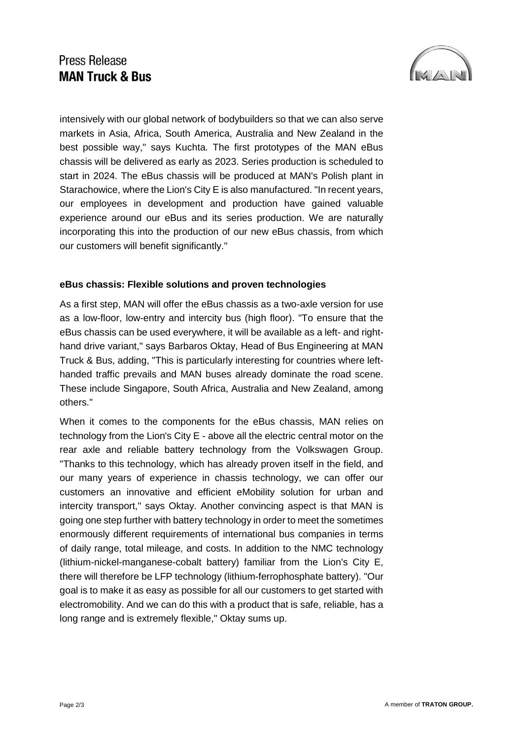## Press Release **MAN Truck & Bus**



intensively with our global network of bodybuilders so that we can also serve markets in Asia, Africa, South America, Australia and New Zealand in the best possible way," says Kuchta. The first prototypes of the MAN eBus chassis will be delivered as early as 2023. Series production is scheduled to start in 2024. The eBus chassis will be produced at MAN's Polish plant in Starachowice, where the Lion's City E is also manufactured. "In recent years, our employees in development and production have gained valuable experience around our eBus and its series production. We are naturally incorporating this into the production of our new eBus chassis, from which our customers will benefit significantly."

## **eBus chassis: Flexible solutions and proven technologies**

As a first step, MAN will offer the eBus chassis as a two-axle version for use as a low-floor, low-entry and intercity bus (high floor). "To ensure that the eBus chassis can be used everywhere, it will be available as a left- and righthand drive variant," says Barbaros Oktay, Head of Bus Engineering at MAN Truck & Bus, adding, "This is particularly interesting for countries where lefthanded traffic prevails and MAN buses already dominate the road scene. These include Singapore, South Africa, Australia and New Zealand, among others."

When it comes to the components for the eBus chassis, MAN relies on technology from the Lion's City E - above all the electric central motor on the rear axle and reliable battery technology from the Volkswagen Group. "Thanks to this technology, which has already proven itself in the field, and our many years of experience in chassis technology, we can offer our customers an innovative and efficient eMobility solution for urban and intercity transport," says Oktay. Another convincing aspect is that MAN is going one step further with battery technology in order to meet the sometimes enormously different requirements of international bus companies in terms of daily range, total mileage, and costs. In addition to the NMC technology (lithium-nickel-manganese-cobalt battery) familiar from the Lion's City E, there will therefore be LFP technology (lithium-ferrophosphate battery). "Our goal is to make it as easy as possible for all our customers to get started with electromobility. And we can do this with a product that is safe, reliable, has a long range and is extremely flexible," Oktay sums up.